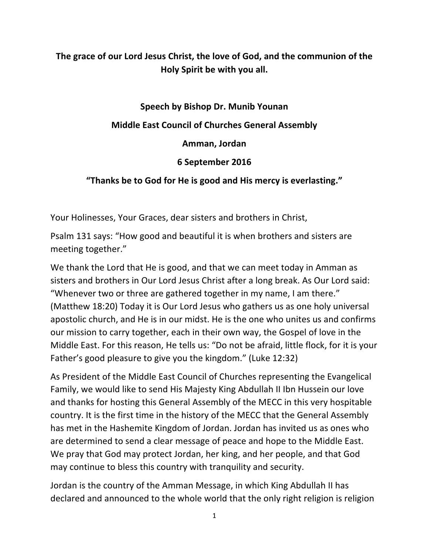# The grace of our Lord Jesus Christ, the love of God, and the communion of the **Holy Spirit be with you all.**

### **Speech by Bishop Dr. Munib Younan**

#### **Middle East Council of Churches General Assembly**

**Amman, Jordan**

## **6 September 2016**

## "Thanks be to God for He is good and His mercy is everlasting."

Your Holinesses, Your Graces, dear sisters and brothers in Christ,

Psalm 131 says: "How good and beautiful it is when brothers and sisters are meeting together."

We thank the Lord that He is good, and that we can meet today in Amman as sisters and brothers in Our Lord Jesus Christ after a long break. As Our Lord said: "Whenever two or three are gathered together in my name, I am there." (Matthew 18:20) Today it is Our Lord Jesus who gathers us as one holy universal apostolic church, and He is in our midst. He is the one who unites us and confirms our mission to carry together, each in their own way, the Gospel of love in the Middle East. For this reason, He tells us: "Do not be afraid, little flock, for it is your Father's good pleasure to give you the kingdom." (Luke 12:32)

As President of the Middle East Council of Churches representing the Evangelical Family, we would like to send His Majesty King Abdullah II Ibn Hussein our love and thanks for hosting this General Assembly of the MECC in this very hospitable country. It is the first time in the history of the MECC that the General Assembly has met in the Hashemite Kingdom of Jordan. Jordan has invited us as ones who are determined to send a clear message of peace and hope to the Middle East. We pray that God may protect Jordan, her king, and her people, and that God may continue to bless this country with tranquility and security.

Jordan is the country of the Amman Message, in which King Abdullah II has declared and announced to the whole world that the only right religion is religion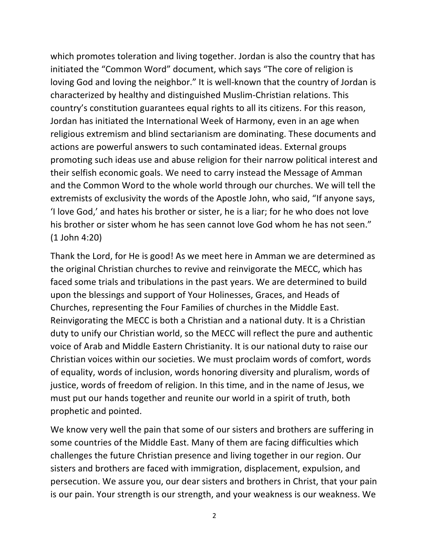which promotes toleration and living together. Jordan is also the country that has initiated the "Common Word" document, which says "The core of religion is loving God and loving the neighbor." It is well-known that the country of Jordan is characterized by healthy and distinguished Muslim-Christian relations. This country's constitution guarantees equal rights to all its citizens. For this reason, Jordan has initiated the International Week of Harmony, even in an age when religious extremism and blind sectarianism are dominating. These documents and actions are powerful answers to such contaminated ideas. External groups promoting such ideas use and abuse religion for their narrow political interest and their selfish economic goals. We need to carry instead the Message of Amman and the Common Word to the whole world through our churches. We will tell the extremists of exclusivity the words of the Apostle John, who said, "If anyone says, 'I love God,' and hates his brother or sister, he is a liar; for he who does not love his brother or sister whom he has seen cannot love God whom he has not seen."  $(1$  John 4:20)

Thank the Lord, for He is good! As we meet here in Amman we are determined as the original Christian churches to revive and reinvigorate the MECC, which has faced some trials and tribulations in the past years. We are determined to build upon the blessings and support of Your Holinesses, Graces, and Heads of Churches, representing the Four Families of churches in the Middle East. Reinvigorating the MECC is both a Christian and a national duty. It is a Christian duty to unify our Christian world, so the MECC will reflect the pure and authentic voice of Arab and Middle Eastern Christianity. It is our national duty to raise our Christian voices within our societies. We must proclaim words of comfort, words of equality, words of inclusion, words honoring diversity and pluralism, words of justice, words of freedom of religion. In this time, and in the name of Jesus, we must put our hands together and reunite our world in a spirit of truth, both prophetic and pointed.

We know very well the pain that some of our sisters and brothers are suffering in some countries of the Middle East. Many of them are facing difficulties which challenges the future Christian presence and living together in our region. Our sisters and brothers are faced with immigration, displacement, expulsion, and persecution. We assure you, our dear sisters and brothers in Christ, that your pain is our pain. Your strength is our strength, and your weakness is our weakness. We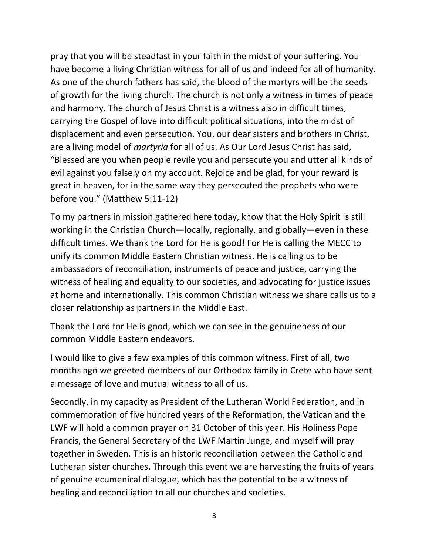pray that you will be steadfast in your faith in the midst of your suffering. You have become a living Christian witness for all of us and indeed for all of humanity. As one of the church fathers has said, the blood of the martyrs will be the seeds of growth for the living church. The church is not only a witness in times of peace and harmony. The church of Jesus Christ is a witness also in difficult times, carrying the Gospel of love into difficult political situations, into the midst of displacement and even persecution. You, our dear sisters and brothers in Christ, are a living model of *martyria* for all of us. As Our Lord Jesus Christ has said, "Blessed are you when people revile you and persecute you and utter all kinds of evil against you falsely on my account. Rejoice and be glad, for your reward is great in heaven, for in the same way they persecuted the prophets who were before you." (Matthew 5:11-12)

To my partners in mission gathered here today, know that the Holy Spirit is still working in the Christian Church—locally, regionally, and globally—even in these difficult times. We thank the Lord for He is good! For He is calling the MECC to unify its common Middle Eastern Christian witness. He is calling us to be ambassadors of reconciliation, instruments of peace and justice, carrying the witness of healing and equality to our societies, and advocating for justice issues at home and internationally. This common Christian witness we share calls us to a closer relationship as partners in the Middle East.

Thank the Lord for He is good, which we can see in the genuineness of our common Middle Eastern endeavors.

I would like to give a few examples of this common witness. First of all, two months ago we greeted members of our Orthodox family in Crete who have sent a message of love and mutual witness to all of us.

Secondly, in my capacity as President of the Lutheran World Federation, and in commemoration of five hundred years of the Reformation, the Vatican and the LWF will hold a common prayer on 31 October of this year. His Holiness Pope Francis, the General Secretary of the LWF Martin Junge, and myself will pray together in Sweden. This is an historic reconciliation between the Catholic and Lutheran sister churches. Through this event we are harvesting the fruits of years of genuine ecumenical dialogue, which has the potential to be a witness of healing and reconciliation to all our churches and societies.